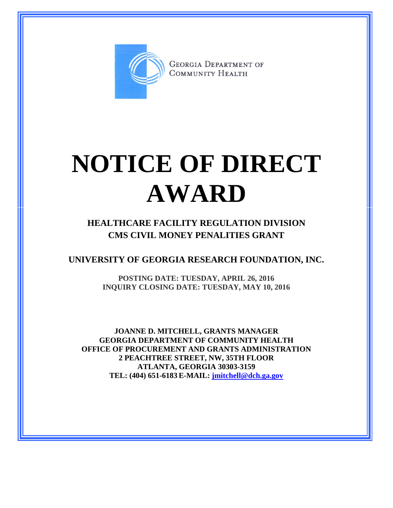

**GEORGIA DEPARTMENT OF** COMMUNITY HEALTH

## **NOTICE OF DIRECT AWARD**

**HEALTHCARE FACILITY REGULATION DIVISION CMS CIVIL MONEY PENALITIES GRANT**

**UNIVERSITY OF GEORGIA RESEARCH FOUNDATION, INC.**

**POSTING DATE: TUESDAY, APRIL 26, 2016 INQUIRY CLOSING DATE: TUESDAY, MAY 10, 2016**

**JOANNE D. MITCHELL, GRANTS MANAGER GEORGIA DEPARTMENT OF COMMUNITY HEALTH OFFICE OF PROCUREMENT AND GRANTS ADMINISTRATION 2 PEACHTREE STREET, NW, 35TH FLOOR ATLANTA, GEORGIA 30303-3159 TEL: (404) 651-6183 E-MAIL: [jmitchell@dch.ga.gov](mailto:awatson@dch.ga.gov)**